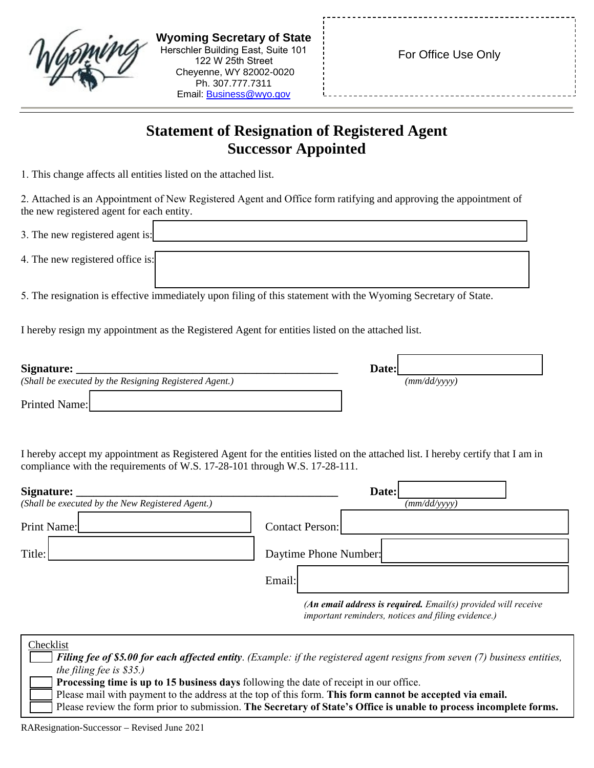| <b>Wyoming Secretary of State</b><br>Herschler Building East, Suite 101<br>122 W 25th Street<br>Cheyenne, WY 82002-0020<br>Ph. 307.777.7311<br>Email: Business@wyo.gov | For Office Use Only |
|------------------------------------------------------------------------------------------------------------------------------------------------------------------------|---------------------|
|                                                                                                                                                                        |                     |

## **Statement of Resignation of Registered Agent Successor Appointed**

1. This change affects all entities listed on the attached list.

2. Attached is an Appointment of New Registered Agent and Office form ratifying and approving the appointment of the new registered agent for each entity.

| 3. The new registered agent is:  |  |
|----------------------------------|--|
| 4. The new registered office is: |  |
|                                  |  |

5. The resignation is effective immediately upon filing of this statement with the Wyoming Secretary of State.

I hereby resign my appointment as the Registered Agent for entities listed on the attached list.

| Signature:    |                                                        | Date: |              |
|---------------|--------------------------------------------------------|-------|--------------|
|               | (Shall be executed by the Resigning Registered Agent.) |       | (mm/dd/yyyy) |
| Printed Name: |                                                        |       |              |

I hereby accept my appointment as Registered Agent for the entities listed on the attached list. I hereby certify that I am in compliance with the requirements of W.S. 17-28-101 through W.S. 17-28-111.

| Signature:<br>(Shall be executed by the New Registered Agent.) | Date:<br>(mm/dd/yyyy)                                                                                                 |
|----------------------------------------------------------------|-----------------------------------------------------------------------------------------------------------------------|
| Print Name:                                                    | <b>Contact Person:</b>                                                                                                |
| Title:                                                         | Daytime Phone Number:                                                                                                 |
|                                                                | Email:                                                                                                                |
|                                                                | $(An$ email address is required. Email(s) provided will receive<br>important reminders, notices and filing evidence.) |

| Checklist                                                                                                                  |
|----------------------------------------------------------------------------------------------------------------------------|
| Filing fee of \$5.00 for each affected entity. (Example: if the registered agent resigns from seven (7) business entities, |
| the filing fee is $$35$ .)                                                                                                 |
| Processing time is up to 15 business days following the date of receipt in our office.                                     |
| Please mail with payment to the address at the top of this form. This form cannot be accepted via email.                   |
| Please review the form prior to submission. The Secretary of State's Office is unable to process incomplete forms.         |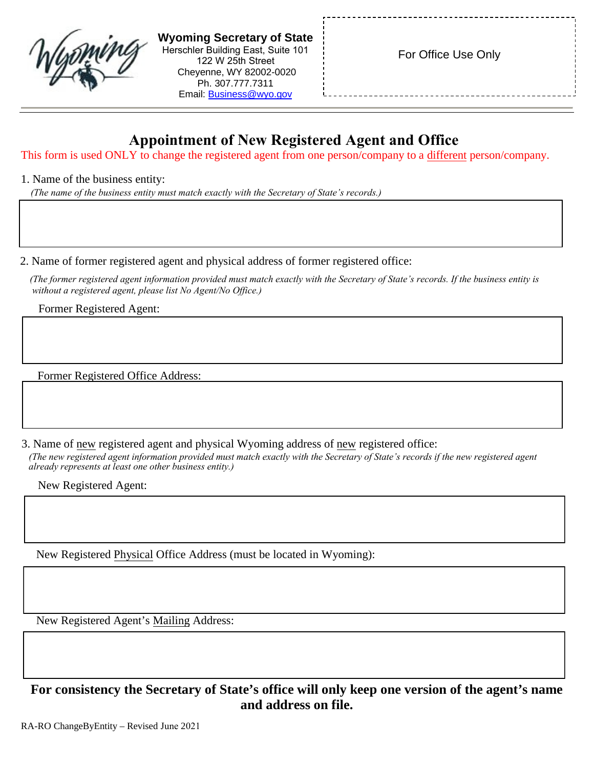| <b>Wyoming Secretary of State</b><br>Herschler Building East, Suite 101<br>122 W 25th Street<br>Cheyenne, WY 82002-0020<br>Ph. 307.777.7311<br>Email: <b>Business@wyo.gov</b> | For Office Use Only |
|-------------------------------------------------------------------------------------------------------------------------------------------------------------------------------|---------------------|
|-------------------------------------------------------------------------------------------------------------------------------------------------------------------------------|---------------------|

## **Appointment of New Registered Agent and Office**

This form is used ONLY to change the registered agent from one person/company to a different person/company.

## 1. Name of the business entity:

*(The name of the business entity must match exactly with the Secretary of State's records.)*

2. Name of former registered agent and physical address of former registered office:

*(The former registered agent information provided must match exactly with the Secretary of State's records. If the business entity is without a registered agent, please list No Agent/No Office.)*

Former Registered Agent:

Former Registered Office Address:

3. Name of new registered agent and physical Wyoming address of new registered office: *(The new registered agent information provided must match exactly with the Secretary of State's records if the new registered agent already represents at least one other business entity.)*

New Registered Agent:

New Registered Physical Office Address (must be located in Wyoming):

New Registered Agent's Mailing Address:

**For consistency the Secretary of State's office will only keep one version of the agent's name and address on file.**

RA-RO ChangeByEntity – Revised June 2021